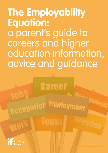**The Employability Equation:**  a parent's guide to careers and higher education information, advice and guidance

Career

Occupation Employment

**Team** 



**UIOL** 

Direction

Manayement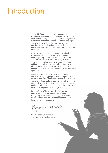# Introduction

The world of work is changing constantly with new careers and interesting opportunities becoming available at an ever increasing rate. Young people need high quality information, advice and guidance on careers and higher education if they are to make sensible and informed decisions about their learning, training and employment against this background of change, diversity and, at times, uncertainty.

As a professional and impartial addition to school careers guidance programmes, Inspiring Futures has been supporting students (and their parents) for over 70 years. We are also **matrix** accredited, which means we work to the highest quality standards in the careers guidance profession. We are specialists in the provision of careers education activities, information, advice and guidance as well as skills development activities for students aged 14 to 18.

We believe that access to high quality information and advice enables young people to make the right choices for their future, based on their personal skills, abilities and aspirations. Guidance then helps them to understand what they need to do next to achieve their personal and career goals. The self-knowledge they acquire in this process will help them throughout their working lives.

Inspiring Futures' The Employability Equation guide for parents sets out the key choices and decisions that young people face and provides suggestions about how to research and explore their options and develop the skills required for success.

Vinginia Isaac

**Virginia Isaac, Chief Executive**  The Inspiring Futures Foundation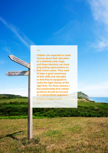

**Children are expected to make choices about their education at a relatively early stage and these decisions can have long lasting repercussions on their future career. They need to have a good awareness of their skills and strengths so that they're equipped to make the right choices at the right time. For those reasons, I feel passionately that careers guidance should be focused on a personalised approach.**

Vivienne Cooper, Parent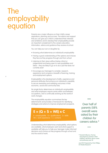## The employability equation

Parents are a major influence on their child's career aspirations, planning and success. The advice and support that you can give your child to understand their interests and ambitions and to develop their employability provide an important complement to the careers education, information, advice and guidance they receive at school.

- You can help your son or daughter by: Knowing what determines an individual's employability
- Having a good understanding of the options and choices they face as they progress through and from school
- Listening to their views without being critical or judgemental and being open to new possibilities and ideas – they are likely to go on to do a job that does not currently exist!
- Encourage your teenager to consider, research, experience and compare a breadth of learning, training and employment options

Employability is the development of skills, experience and personal attributes that enhance an individual's capability to secure rewarding and satisfying outcomes in their economic, social and community lives.

No single factor determines an individual's employability and what employers require varies within and between occupations, and is continually evolving as the world of work changes.

The employability equation summarises the key determinants and provides a framework for identifying strategies and actions to improve employment prospects.

### $E = (Q + S + WE) \times C$

 $E =$  employability  $Q =$  qualifications  $S =$  skills  $WE = work$  experience  $C =$  contacts

Understanding what determines employability, what options are available, what employers want and what support is available will help you to help your teenager make informed decisions and choices as they progress through school and into the world of work.

Over half of parents (58% overall) were asked by their children for careers advice.\*

\* Parental Influence: the key role played by parents in their children's decisions about routes and pathways post-18

July 2015 Prepared by Chris Phillips, GTI Media Research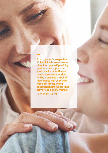**From a parent's perspective it's helpful to have someone other than yourself providing guidance and support as you know it's more likely to be taken seriously! Added to this, it provides a level of reassurance that your child won't opt for the wrong educational path which could prove to be a costly mistake.**

John Taylor, Parent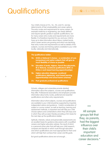# Qualifications **E** =  $|Q| \times 2$  **E** =  $|Q| \times 5 + \text{WE}} \times C$

Your child's choices at 14+, 16+, 18+ and 21+ are key determinants of their employability and career options. The entry routes and requirements for some careers, for example medicine or engineering, are clearly defined and require specific grades in specific qualifications, but for many career entry routes and requirements are more flexible. It is therefore important for you and your child to have up to date information about labour market trends, which career sectors are growing and which are declining, their entry routes and requirements as well as details of the subjects, courses and training options available to your child locally, nationally and internationally.

### **The qualifications ladder:**

- **14+ GCSE or National 5 choices a combination of core (compulsory) and option subjects that will give as much flexibility of choice as possible**
- **16+ Education A levels, Highers, French Baccalaureate, IB or Matura), vocational qualifications (BTEC or NVQ) or work based learning (apprenticeships)**
- **18+ Higher education (degrees), vocational qualifications (diplomas), work based learning (apprenticeships and school leaver schemes)**
- **21+ Post-graduate professional qualifications**

Schools, colleges and universities provide detailed information about the subjects, courses and qualifications they offer. Professional associations and employers provide information about entry routes, preferred and essential qualifications and other entry requirements.

Information about what subjects, courses and qualifications are available to your child should be supported by impartial, independent advice and guidance. Careful consideration of subject or course content, as well as teaching, learning and assessment methods, is important and will help your child choose options and combinations which they will enjoy and in which they will succeed, thereby providing a firm basis for the next step up the qualifications ladder.

Aptitude, interests, values and personality assessments are an excellent basis for guidance discussions with a qualified careers and higher education adviser, the result of which is a personal action plan that will help your child research, compare and decide on which route through education and which qualifications are most appropriate for them and which will help them achieve their career and life goals.

But good qualifications alone are not enough…

All sample groups felt that they, as parents, had the biggest influence over their child's important education and career decisions.\*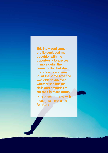**This individual career profile equipped my daughter with the opportunity to explore in more detail the career paths that she had shown an interest in. At the same time she was able to discover whether she has the skills and aptitudes to succeed in those areas.**

Denise Smith, Parent with a daughter enrolled in **Futurewise**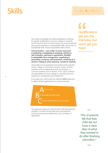8

### $S$ kills **E** = (Q + S + WE) x C

The subject knowledge and skills developed by studying for specific qualifications at school, college or university are the basis for entry to some careers, but many employers place great emphasis on employability skills, also known as transferable skills. These employability skills include:

**Communication – oral, written & visual, teamwork & leadership, investigating & analysing, initiative & self-motivation, planning & organisation, flexibility & adaptability, time management, negotiating & persuading, numeracy, self-awareness, computing & IT, decision-making & action planning, curiosity & creativity**

These skills can be developed and evidenced through the school, college or university curriculum, super-curricular activities such as independent study and projects, cocurricular activities such as drama, music, sport, positions of responsibility at school, college or university and work experience, volunteering and employment.

Encourage your child to take the reflective **A B C** approach to skills and their applications for courses and jobs.



This approach helps your child put their skills development activities in context and will help them write effective and focussed personal statements, CVs and letters of application.

### **Qualifications** get you the interview, but won't get you hired

The Undercover Recruiter

79% of parents felt that their child did not have a clear idea of what they wanted to do after finishing education.\*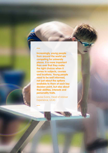**Increasingly, young people from around the world are competing for university places. It is more important than ever that they make the right choices when it comes to subjects, courses and locations. Young people need to be well informed, not just about the options available to them at each key decision point, but also about their abilities, interests and personality traits.**

Louise Evans, Head of Adviser Experience, UCAS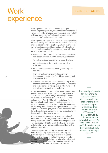### $= (Q + S + WE) \times Q$

# Work experience

Work experience, paid work, volunteering and job shadowing are all good ways for your child to find out about career entry routes and requirements, develop employability skills and provide 'can do' statements and examples to support their CV and personal statement.

Work experience is a placement on an employer's premises in which a young person carries out a particular task or duty, more or less as would an employee, but with an emphasis on the learning aspects of the experience. The benefits of young people preparing for, participating in and reflecting on work experience include:

- Awareness of the factors which determine career choice and the requirements of particular employment sectors
- An understanding of possible future career directions
- An insight into the skills and attitudes required by employers
- Evidence to support learning, training or employment applications
- Improved motivation and self-esteem, greater independence, enhanced self-confidence, maturity and interpersonal skills
- Preparation for adult life, such as understanding of social, economic and industrial issues, citizenship and enterprise and an awareness of the importance of following health and safety requirements in the workplace

A common starting point to introduce young people to the world of work is a 'take your child to work day' in Year 9 / S2 or Year 10 / S3, followed by a week long placement usually scheduled either at the end of Year 10 / S3, the autumn term of Year 11 / S4 or at the end of Year 11 / S4. In some schools, work experience or job shadowing also takes place in Year 12 / S5, as this provides the opportunity for the young person to focus on a specific career in greater depth. A post-school gap year is an excellent opportunity for prolonged work experience to find out more about or to test commitment to a specific career.

Many schools help young people maximise the benefits of work experience by organising sessions on CV writing, writing application letters and interview technique, as well as providing guidelines for health & safety and keeping a reflective diary which can be used to support future job or university applications.

Volunteering and paid employment are also valuable ways of broadening experience and developing skills. Volunteering is of special importance for young people contemplating careers in the health care and education sectors. Paid work, albeit often in relatively low-skilled and low-paid jobs, is an opportunity to develop transferable employability skills and acts a source of motivation.

The majority of parents felt that a 'one-toone careers advice discussion with your child' was the most important aspect of careers advice and information (60% overall), closely followed by 'information about subject choices at KS4 and KS5/S2 and S3' and 'information about how school subjects relate to career or job areas'.\*

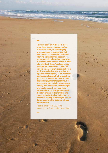**How you perform in the work place is not the same as how you perform in the class room, so encouraging a young person to understand their own personality, aptitudes, skills and interests alongside their academic performance in schools is a good way to motivate them to take a look at what jobs might suit them. Teachers cannot be expected to understand what all careers entail, or even recognise how a particular aptitude might translate into a perfect career option, so an impartial guidance professional will always be a good option. One of the tools at their disposal is psychometric profiling. It is an excellent way to help young people identify and understand their strengths and weaknesses. It can help them better understand their passions and therefore choose further studies and career paths best suited to them as an individual. Finding out what you love to do is a good start to finding a job you will love to do.**

**ANGEL** 

11

Stephen Isherwood, CEO of the Association of Graduate Recruiters (AGR).

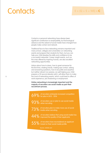## Contacts **E** = (Q + S + WE) x C

Contacts or personal networking have always been significant contributors to employability, but technological advance and the advent of social media have changed how people make contact and network.

Traditional face-to-face networking remains important and many school, colleges and universities run networking events and prepare their students for them, but you can help your child develop the skills and confidence to be a successful networker. Career insight events, such as the ones offered by Inspiring Futures, are also excellent networking opportunities.

Advice about how to dress, how to greet someone for the first time, shaking hands, making eye contact, asking and answering questions, how to be polite and assertive but neither reticent nor passive, as well helping your child prepare a 30 second elevator pitch, will allow them to make the most of networking events, which could lead to offers of work experience, job shadowing or employment.

**Online networking is increasingly important and the majority of recruiters use social media as part their recruitment process.**

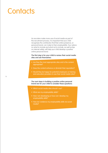# **Contacts**

As recruiters make more use of social media as part of the recruitment process, it is important that your child recognises the contribution that their online presence, or personal brand, can make to their employability. Your advice on what to include and what not to include, as well as tips on internet safety, will help your child develop a positive online personal brand.

### **The first step is for your child to review their social media sites and ask themselves:**

- Are they the most appropriate sites and is the content appropriate?
- Does the content enhance or diminish their reputation?
- Would they be happy for potential employers or training and education providers to see their social media sites?

**The next steps in building a positive online personal brand are for your child to consider these questions:**

- Which social media sites should I use?
- What are my employability skills?
- How I am developing or how can I develop my employability skills?
- How do I evidence my employability skills via social media?